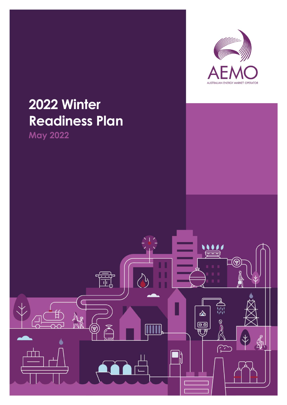

# **2022 Winter Readiness Plan**

**May 2022**

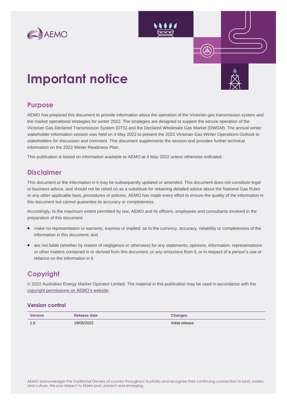

## **Important notice**

## **Purpose**

AEMO has prepared this document to provide information about the operation of the Victorian gas transmission system and the market operational strategies for winter 2022. The strategies are designed to support the secure operation of the Victorian Gas Declared Transmission System (DTS) and the Declared Wholesale Gas Market (DWGM). The annual winter stakeholder information session was held on 4 May 2022 to present the 2022 Victorian Gas Winter Operations Outlook to stakeholders for discussion and comment. This document supplements the session and provides further technical information on the 2022 Winter Readiness Plan.

This publication is based on information available to AEMO at 4 May 2022 unless otherwise indicated.

## **Disclaimer**

This document or the information in it may be subsequently updated or amended. This document does not constitute legal or business advice, and should not be relied on as a substitute for obtaining detailed advice about the National Gas Rules or any other applicable laws, procedures or policies. AEMO has made every effort to ensure the quality of the information in this document but cannot guarantee its accuracy or completeness.

Accordingly, to the maximum extent permitted by law, AEMO and its officers, employees and consultants involved in the preparation of this document:

- make no representation or warranty, express or implied, as to the currency, accuracy, reliability or completeness of the information in this document; and
- are not liable (whether by reason of negligence or otherwise) for any statements, opinions, information, representations or other matters contained in or derived from this document, or any omissions from it, or in respect of a person's use or reliance on the information in it.

## **Copyright**

© 2022 Australian Energy Market Operator Limited. The material in this publication may be used in accordance with the [copyright permissions on AEMO's website.](https://www.aemo.com.au/privacy-and-legal-notices/copyright-permissions#:~:text=In%20addition%20to%20the%20uses%20permitted%20under%20copyright,permission%20to%20use%20AEMO%20Material%20in%20this%20way.)

### **Version control**

| <b>Version</b>        | Release date | <b>Changes</b>  |
|-----------------------|--------------|-----------------|
| $\overline{a}$<br>I.U | 19/05/2022   | Initial release |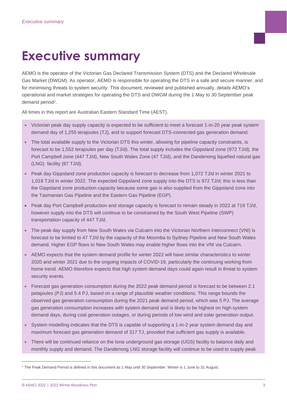# <span id="page-2-0"></span>**Executive summary**

AEMO is the operator of the Victorian Gas Declared Transmission System (DTS) and the Declared Wholesale Gas Market (DWGM). As operator, AEMO is responsible for operating the DTS in a safe and secure manner, and for minimising threats to system security. This document, reviewed and published annually, details AEMO's operational and market strategies for operating the DTS and DWGM during the 1 May to 30 September peak demand period<sup>1</sup>.

All times in this report are Australian Eastern Standard Time (AEST).

- Victorian peak day supply capacity is expected to be sufficient to meet a forecast 1-in-20 year peak system demand day of 1,255 terajoules (TJ), and to support forecast DTS-connected gas generation demand.
- The total available supply to the Victorian DTS this winter, allowing for pipeline capacity constraints, is forecast to be 1,552 terajoules per day (TJ/d). The total supply includes the Gippsland zone (972 TJ/d), the Port Campbell zone (447 TJ/d), New South Wales Zone (47 TJ/d), and the Dandenong liquefied natural gas (LNG) facility (87 TJ/d).
- Peak day Gippsland zone production capacity is forecast to decrease from 1,072 TJ/d in winter 2021 to 1,018 TJ/d in winter 2022. The expected Gippsland zone supply into the DTS is 972 TJ/d; this is less than the Gippsland zone production capacity because some gas is also supplied from the Gippsland zone into the Tasmanian Gas Pipeline and the Eastern Gas Pipeline (EGP).
- Peak day Port Campbell production and storage capacity is forecast to remain steady in 2022 at 719 TJ/d, however supply into the DTS will continue to be constrained by the South West Pipeline (SWP) transportation capacity of 447 TJ/d.
- The peak day supply from New South Wales via Culcairn into the Victorian Northern Interconnect (VNI) is forecast to be limited to 47 TJ/d by the capacity of the Moomba to Sydney Pipeline and New South Wales demand. Higher EGP flows to New South Wales may enable higher flows into the VNI via Culcairn.
- AEMO expects that the system demand profile for winter 2022 will have similar characteristics to winter 2020 and winter 2021 due to the ongoing impacts of COVID-19, particularly the continuing working from home trend. AEMO therefore expects that high system demand days could again result in threat to system security events.
- Forecast gas generation consumption during the 2022 peak demand period is forecast to be between 2.1 petajoules (PJ) and 5.4 PJ, based on a range of plausible weather conditions. This range bounds the observed gas generation consumption during the 2021 peak demand period, which was 5 PJ. The average gas generation consumption increases with system demand and is likely to be highest on high system demand days, during coal generation outages, or during periods of low wind and solar generation output.
- System modelling indicates that the DTS is capable of supporting a 1-in-2 year system demand day and maximum forecast gas generation demand of 317 TJ, provided that sufficient gas supply is available.
- There will be continued reliance on the Iona underground gas storage (UGS) facility to balance daily and monthly supply and demand. The Dandenong LNG storage facility will continue to be used to supply peak

<sup>1</sup> The Peak Demand Period is defined in this document as 1 May until 30 September. Winter is 1 June to 31 August.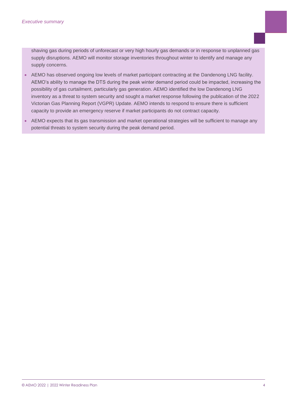shaving gas during periods of unforecast or very high hourly gas demands or in response to unplanned gas supply disruptions. AEMO will monitor storage inventories throughout winter to identify and manage any supply concerns.

- AEMO has observed ongoing low levels of market participant contracting at the Dandenong LNG facility. AEMO's ability to manage the DTS during the peak winter demand period could be impacted, increasing the possibility of gas curtailment, particularly gas generation. AEMO identified the low Dandenong LNG inventory as a threat to system security and sought a market response following the publication of the 2022 Victorian Gas Planning Report (VGPR) Update. AEMO intends to respond to ensure there is sufficient capacity to provide an emergency reserve if market participants do not contract capacity.
- AEMO expects that its gas transmission and market operational strategies will be sufficient to manage any potential threats to system security during the peak demand period.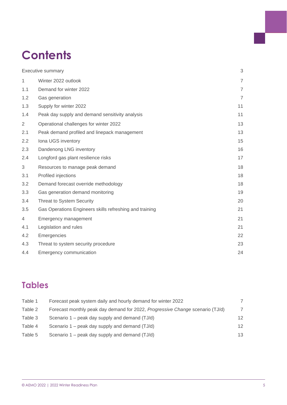## **Contents**

| <b>Executive summary</b> | 3                                                       |                |
|--------------------------|---------------------------------------------------------|----------------|
| $\mathbf{1}$             | Winter 2022 outlook                                     | $\overline{7}$ |
| 1.1                      | Demand for winter 2022                                  | $\overline{7}$ |
| 1.2                      | Gas generation                                          | $\overline{7}$ |
| 1.3                      | Supply for winter 2022                                  | 11             |
| 1.4                      | Peak day supply and demand sensitivity analysis         | 11             |
| $\overline{2}$           | Operational challenges for winter 2022                  | 13             |
| 2.1                      | Peak demand profiled and linepack management            | 13             |
| 2.2                      | Iona UGS inventory                                      | 15             |
| 2.3                      | Dandenong LNG inventory                                 | 16             |
| 2.4                      | Longford gas plant resilience risks                     | 17             |
| 3                        | Resources to manage peak demand                         | 18             |
| 3.1                      | Profiled injections                                     | 18             |
| 3.2                      | Demand forecast override methodology                    | 18             |
| 3.3                      | Gas generation demand monitoring                        | 19             |
| 3.4                      | Threat to System Security                               | 20             |
| 3.5                      | Gas Operations Engineers skills refreshing and training | 21             |
| 4                        | Emergency management                                    | 21             |
| 4.1                      | Legislation and rules                                   | 21             |
| 4.2                      | Emergencies                                             | 22             |
| 4.3                      | Threat to system security procedure                     | 23             |
| 4.4                      | Emergency communication                                 | 24             |

## **Tables**

| Table 1 | Forecast peak system daily and hourly demand for winter 2022                  |                   |
|---------|-------------------------------------------------------------------------------|-------------------|
| Table 2 | Forecast monthly peak day demand for 2022, Progressive Change scenario (TJ/d) | 7                 |
| Table 3 | Scenario 1 – peak day supply and demand (TJ/d)                                | 12                |
| Table 4 | Scenario 1 – peak day supply and demand (TJ/d)                                | $12 \overline{ }$ |
| Table 5 | Scenario 1 – peak day supply and demand (TJ/d)                                | 13                |
|         |                                                                               |                   |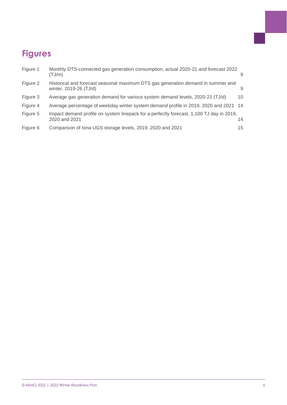## **Figures**

| Figure 1 | Monthly DTS-connected gas generation consumption, actual 2020-21 and forecast 2022<br>(TJ/m)               | 9  |
|----------|------------------------------------------------------------------------------------------------------------|----|
| Figure 2 | Historical and forecast seasonal maximum DTS gas generation demand in summer and<br>winter, 2019-26 (TJ/d) | 9  |
| Figure 3 | Average gas generation demand for various system demand levels, 2020-21 (TJ/d)                             | 10 |
| Figure 4 | Average percentage of weekday winter system demand profile in 2019, 2020 and 2021 14                       |    |
| Figure 5 | Impact demand profile on system linepack for a perfectly forecast, 1,100 TJ day in 2019,<br>2020 and 2021  | 14 |
| Figure 6 | Comparison of Iona UGS storage levels, 2019, 2020 and 2021                                                 | 15 |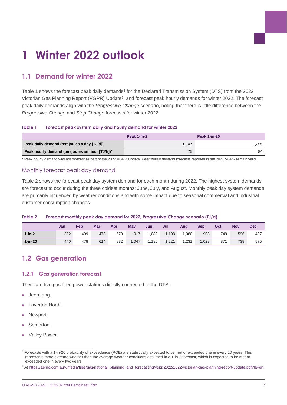# <span id="page-6-0"></span>**1 Winter 2022 outlook**

## <span id="page-6-1"></span>**1.1 Demand for winter 2022**

[Table 1](#page-6-3) shows the forecast peak daily demands<sup>2</sup> for the Declared Transmission System (DTS) from the 2022 Victorian Gas Planning Report (VGPR) Update<sup>3</sup>, and forecast peak hourly demands for winter 2022. The forecast peak daily demands align with the *Progressive Change* scenario, noting that there is little difference between the *Progressive Change* and *Step Change* forecasts for winter 2022.

#### <span id="page-6-3"></span>**Table 1 Forecast peak system daily and hourly demand for winter 2022**

|                                                 | Peak 1-in-2 | <b>Peak 1-in-20</b> |
|-------------------------------------------------|-------------|---------------------|
| Peak daily demand (terajoules a day [TJ/d])     | 1.147       | 1.255               |
| Peak hourly demand (terajoules an hour [TJ/h])* | 75          | 84                  |

\* Peak hourly demand was not forecast as part of the 2022 VGPR Update. Peak hourly demand forecasts reported in the 2021 VGPR remain valid.

### Monthly forecast peak day demand

[Table 2](#page-6-4) shows the forecast peak day system demand for each month during 2022. The highest system demands are forecast to occur during the three coldest months: June, July, and August. Monthly peak day system demands are primarily influenced by weather conditions and with some impact due to seasonal commercial and industrial customer consumption changes.

#### <span id="page-6-4"></span>**Table 2 Forecast monthly peak day demand for 2022,** *Progressive Change* **scenario (TJ/d)**

|            | Jan | Feb | <b>Mar</b> | Apr | May  | Jun   | Jul   | Aug   | Sep   | Oct | <b>Nov</b> | <b>Dec</b> |
|------------|-----|-----|------------|-----|------|-------|-------|-------|-------|-----|------------|------------|
| $1$ -in-2  | 392 | 409 | 473        | 670 | 917  | 1,082 | 1,108 | ,080  | 903   | 749 | 596        | 437        |
| $1$ -in-20 | 440 | 478 | 614        | 832 | ,047 | 1.186 | 1.221 | 1.231 | 1,028 | 871 | 738        | 575        |

## <span id="page-6-2"></span>**1.2 Gas generation**

### **1.2.1 Gas generation forecast**

There are five gas-fired power stations directly connected to the DTS:

- Jeeralang.
- Laverton North.
- Newport.
- Somerton.
- Valley Power.

<sup>&</sup>lt;sup>2</sup> Forecasts with a 1-in-20 probability of exceedance (POE) are statistically expected to be met or exceeded one in every 20 years. This represents more extreme weather than the average weather conditions assumed in a 1-in-2 forecast, which is expected to be met or exceeded one in every two years

<sup>&</sup>lt;sup>3</sup> At https://aemo.com.au/-/media/files/gas/national\_planning\_and\_forecasting/vgpr/2022/2022-victorian-gas-planning-report-update.pdf?la=en.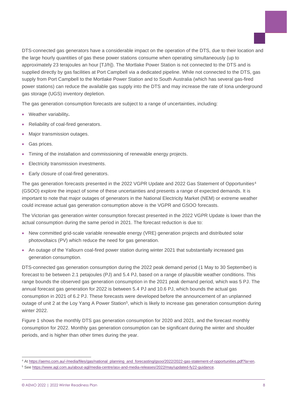DTS-connected gas generators have a considerable impact on the operation of the DTS, due to their location and the large hourly quantities of gas these power stations consume when operating simultaneously (up to approximately 23 terajoules an hour [TJ/h]). The Mortlake Power Station is not connected to the DTS and is supplied directly by gas facilities at Port Campbell via a dedicated pipeline. While not connected to the DTS, gas supply from Port Campbell to the Mortlake Power Station and to South Australia (which has several gas-fired power stations) can reduce the available gas supply into the DTS and may increase the rate of Iona underground gas storage (UGS) inventory depletion.

The gas generation consumption forecasts are subject to a range of uncertainties, including:

- Weather variability**.**
- Reliability of coal-fired generators.
- Major transmission outages.
- Gas prices.
- Timing of the installation and commissioning of renewable energy projects.
- Electricity transmission investments.
- Early closure of coal-fired generators.

The gas generation forecasts presented in the 2022 VGPR Update and 2022 Gas Statement of Opportunities<sup>4</sup> (GSOO) explore the impact of some of these uncertainties and presents a range of expected demands. It is important to note that major outages of generators in the National Electricity Market (NEM) or extreme weather could increase actual gas generation consumption above is the VGPR and GSOO forecasts.

The Victorian gas generation winter consumption forecast presented in the 2022 VGPR Update is lower than the actual consumption during the same period in 2021. The forecast reduction is due to:

- New committed grid-scale variable renewable energy (VRE) generation projects and distributed solar photovoltaics (PV) which reduce the need for gas generation.
- An outage of the Yallourn coal-fired power station during winter 2021 that substantially increased gas generation consumption.

DTS-connected gas generation consumption during the 2022 peak demand period (1 May to 30 September) is forecast to be between 2.1 petajoules (PJ) and 5.4 PJ, based on a range of plausible weather conditions. This range bounds the observed gas generation consumption in the 2021 peak demand period, which was 5 PJ. The annual forecast gas generation for 2022 is between 5.4 PJ and 10.6 PJ, which bounds the actual gas consumption in 2021 of 6.2 PJ. These forecasts were developed before the announcement of an unplanned outage of unit 2 at the Loy Yang A Power Station<sup>5</sup>, which is likely to increase gas generation consumption during winter 2022.

[Figure 1](#page-8-0) shows the monthly DTS gas generation consumption for 2020 and 2021, and the forecast monthly consumption for 2022. Monthly gas generation consumption can be significant during the winter and shoulder periods, and is higher than other times during the year.

<sup>4</sup> At [https://aemo.com.au/-/media/files/gas/national\\_planning\\_and\\_forecasting/gsoo/2022/2022-gas-statement-of-opportunities.pdf?la=en.](https://aemo.com.au/-/media/files/gas/national_planning_and_forecasting/gsoo/2022/2022-gas-statement-of-opportunities.pdf?la=en) <sup>5</sup> See [https://www.agl.com.au/about-agl/media-centre/asx-and-media-releases/2022/may/updated-fy22-guidance.](https://www.agl.com.au/about-agl/media-centre/asx-and-media-releases/2022/may/updated-fy22-guidance)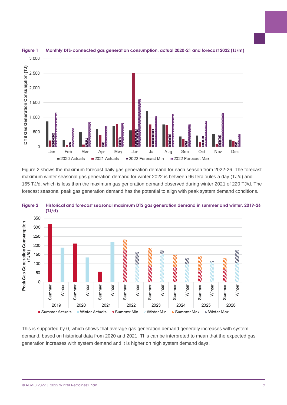

### <span id="page-8-0"></span>**Figure 1 Monthly DTS-connected gas generation consumption, actual 2020-21 and forecast 2022 (TJ/m)**

[Figure 2](#page-8-1) shows the maximum forecast daily gas generation demand for each season from 2022-26. The forecast maximum winter seasonal gas generation demand for winter 2022 is between 96 terajoules a day (TJ/d) and 165 TJ/d, which is less than the maximum gas generation demand observed during winter 2021 of 220 TJ/d. The forecast seasonal peak gas generation demand has the potential to align with peak system demand conditions.



<span id="page-8-1"></span>

<span id="page-8-2"></span>This is supported by [0,](#page-8-2) which shows that average gas generation demand generally increases with system demand, based on historical data from 2020 and 2021. This can be interpreted to mean that the expected gas generation increases with system demand and it is higher on high system demand days.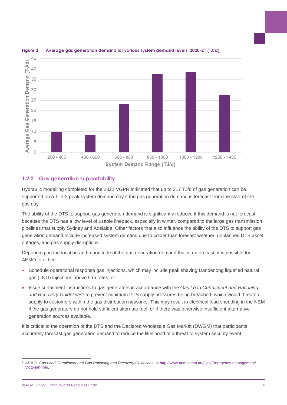

#### <span id="page-9-0"></span>**Figure 3 Average gas generation demand for various system demand levels, 2020-21 (TJ/d)**

## **1.2.2 Gas generation supportability**

Hydraulic modelling completed for the 2021 VGPR indicated that up to 317 TJ/d of gas generation can be supported on a 1-in-2 peak system demand day if the gas generation demand is forecast from the start of the gas day.

The ability of the DTS to support gas generation demand is significantly reduced if this demand is not forecast, because the DTS has a low level of usable linepack, especially in winter, compared to the large gas transmission pipelines that supply Sydney and Adelaide. Other factors that also influence the ability of the DTS to support gas generation demand include increased system demand due to colder than forecast weather, unplanned DTS asset outages, and gas supply disruptions.

Depending on the location and magnitude of the gas generation demand that is unforecast, it is possible for AEMO to either:

- Schedule operational response gas injections, which may include peak shaving Dandenong liquefied natural gas (LNG) injections above firm rates; or
- Issue curtailment instructions to gas generators in accordance with the *Gas Load Curtailment and Rationing*  and Recovery Guidelines<sup>6</sup> to prevent minimum DTS supply pressures being breached, which would threaten supply to customers within the gas distribution networks. This may result in electrical load shedding in the NEM if the gas generators do not hold sufficient alternate fuel, or if there was otherwise insufficient alternative generation sources available.

It is critical to the operation of the DTS and the Declared Wholesale Gas Market (DWGM) that participants accurately forecast gas generation demand to reduce the likelihood of a threat to system security event.

<sup>6</sup> AEMO, *Gas Load Curtailment and Gas Rationing and Recovery Guidelines*, at [http://www.aemo.com.au/Gas/Emergency-management/](http://www.aemo.com.au/Gas/Emergency-management/Victorian-role) [Victorian-role.](http://www.aemo.com.au/Gas/Emergency-management/Victorian-role)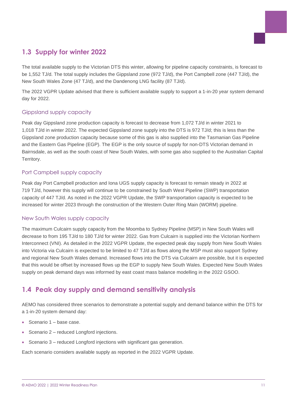

## <span id="page-10-0"></span>**1.3 Supply for winter 2022**

The total available supply to the Victorian DTS this winter, allowing for pipeline capacity constraints, is forecast to be 1,552 TJ/d. The total supply includes the Gippsland zone (972 TJ/d), the Port Campbell zone (447 TJ/d), the New South Wales Zone (47 TJ/d), and the Dandenong LNG facility (87 TJ/d).

The 2022 VGPR Update advised that there is sufficient available supply to support a 1-in-20 year system demand day for 2022.

## Gippsland supply capacity

Peak day Gippsland zone production capacity is forecast to decrease from 1,072 TJ/d in winter 2021 to 1,018 TJ/d in winter 2022. The expected Gippsland zone supply into the DTS is 972 TJ/d; this is less than the Gippsland zone production capacity because some of this gas is also supplied into the Tasmanian Gas Pipeline and the Eastern Gas Pipeline (EGP). The EGP is the only source of supply for non-DTS Victorian demand in Bairnsdale, as well as the south coast of New South Wales, with some gas also supplied to the Australian Capital Territory.

## Port Campbell supply capacity

Peak day Port Campbell production and Iona UGS supply capacity is forecast to remain steady in 2022 at 719 TJ/d, however this supply will continue to be constrained by South West Pipeline (SWP) transportation capacity of 447 TJ/d. As noted in the 2022 VGPR Update, the SWP transportation capacity is expected to be increased for winter 2023 through the construction of the Western Outer Ring Main (WORM) pipeline.

### New South Wales supply capacity

The maximum Culcairn supply capacity from the Moomba to Sydney Pipeline (MSP) in New South Wales will decrease to from 195 TJ/d to 180 TJ/d for winter 2022. Gas from Culcairn is supplied into the Victorian Northern Interconnect (VNI). As detailed in the 2022 VGPR Update, the expected peak day supply from New South Wales into Victoria via Culcairn is expected to be limited to 47 TJ/d as flows along the MSP must also support Sydney and regional New South Wales demand. Increased flows into the DTS via Culcairn are possible, but it is expected that this would be offset by increased flows up the EGP to supply New South Wales. Expected New South Wales supply on peak demand days was informed by east coast mass balance modelling in the 2022 GSOO.

## <span id="page-10-1"></span>**1.4 Peak day supply and demand sensitivity analysis**

AEMO has considered three scenarios to demonstrate a potential supply and demand balance within the DTS for a 1-in-20 system demand day:

- Scenario 1 base case.
- Scenario 2 reduced Longford injections.
- Scenario 3 reduced Longford injections with significant gas generation.

Each scenario considers available supply as reported in the 2022 VGPR Update.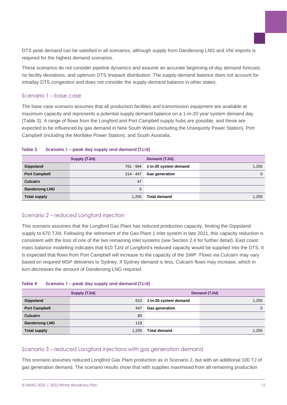DTS peak demand can be satisfied in all scenarios, although supply from Dandenong LNG and VNI imports is required for the highest demand scenarios.

These scenarios do not consider pipeline dynamics and assume an accurate beginning-of-day demand forecast, no facility deviations, and optimum DTS linepack distribution. The supply-demand balance does not account for intraday DTS congestion and does not consider the supply-demand balance in other states.

#### Scenario 1 – base case

The base case scenario assumes that all production facilities and transmission equipment are available at maximum capacity and represents a potential supply demand balance on a 1-in-20 year system demand day [\(Table 3\)](#page-11-0). A range of flows from the Longford and Port Campbell supply hubs are possible, and these are expected to be influenced by gas demand in New South Wales (including the Uranquinty Power Station), Port Campbell (including the Mortlake Power Station), and South Australia.

|                      | Supply (TJ/d) | Demand (TJ/d)         |          |
|----------------------|---------------|-----------------------|----------|
| Gippsland            | 761 - 994     | 1-in-20 system demand | 1,255    |
| <b>Port Campbell</b> | 214 - 447     | <b>Gas generation</b> | $\Omega$ |
| <b>Culcairn</b>      | 47            |                       |          |
| <b>Dandenong LNG</b> | 0             |                       |          |
| <b>Total supply</b>  | 1,255         | <b>Total demand</b>   | 1.255    |

#### <span id="page-11-0"></span>**Table 3 Scenario 1 – peak day supply and demand (TJ/d)**

### Scenario 2 – reduced Longford injection

This scenario assumes that the Longford Gas Plant has reduced production capacity, limiting the Gippsland supply to 670 TJ/d. Following the retirement of the Gas Plant 1 inlet system in late 2021, this capacity reduction is consistent with the loss of one of the two remaining inlet systems (see Section [2.4](#page-16-0) for further detail). East coast mass balance modelling indicates that 610 TJ/d of Longford's reduced capacity would be supplied into the DTS. It is expected that flows from Port Campbell will increase to the capacity of the SWP. Flows via Culcairn may vary based on required MSP deliveries to Sydney. If Sydney demand is less, Culcairn flows may increase, which in turn decreases the amount of Dandenong LNG required.

#### <span id="page-11-1"></span>**Table 4 Scenario 1 – peak day supply and demand (TJ/d)**

|                      | Supply (TJ/d) | Demand (TJ/d)         |          |  |
|----------------------|---------------|-----------------------|----------|--|
| Gippsland            | 610           | 1-in-20 system demand | 1,255    |  |
| <b>Port Campbell</b> | 447           | <b>Gas generation</b> | $\Omega$ |  |
| <b>Culcairn</b>      | 80            |                       |          |  |
| <b>Dandenong LNG</b> | 119           |                       |          |  |
| <b>Total supply</b>  | 1.255         | <b>Total demand</b>   | 1,255    |  |

### Scenario 3 – reduced Longford injections with gas generation demand

This scenario assumes reduced Longford Gas Plant production as in Scenario 2, but with an additional 100 TJ of gas generation demand. The scenario results show that with supplies maximised from all remaining production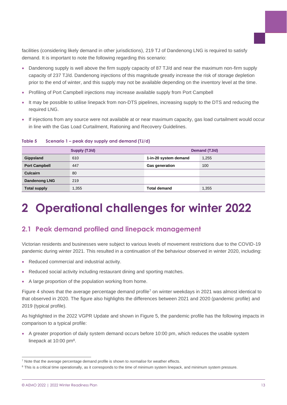facilities (considering likely demand in other jurisdictions), 219 TJ of Dandenong LNG is required to satisfy demand. It is important to note the following regarding this scenario:

- Dandenong supply is well above the firm supply capacity of 87 TJ/d and near the maximum non-firm supply capacity of 237 TJ/d. Dandenong injections of this magnitude greatly increase the risk of storage depletion prior to the end of winter, and this supply may not be available depending on the inventory level at the time.
- Profiling of Port Campbell injections may increase available supply from Port Campbell
- It may be possible to utilise linepack from non-DTS pipelines, increasing supply to the DTS and reducing the required LNG.
- If injections from any source were not available at or near maximum capacity, gas load curtailment would occur in line with the Gas Load Curtailment, Rationing and Recovery Guidelines.

|                      | Supply (TJ/d) | Demand (TJ/d)         |       |  |
|----------------------|---------------|-----------------------|-------|--|
| Gippsland            | 610           | 1-in-20 system demand | 1,255 |  |
| <b>Port Campbell</b> | 447           | <b>Gas generation</b> | 100   |  |
| <b>Culcairn</b>      | 80            |                       |       |  |
| <b>Dandenong LNG</b> | 219           |                       |       |  |
| <b>Total supply</b>  | 1,355         | <b>Total demand</b>   | 1,355 |  |

#### <span id="page-12-2"></span>**Table 5 Scenario 1 – peak day supply and demand (TJ/d)**

## <span id="page-12-0"></span>**2 Operational challenges for winter 2022**

## <span id="page-12-1"></span>**2.1 Peak demand profiled and linepack management**

Victorian residents and businesses were subject to various levels of movement restrictions due to the COVID-19 pandemic during winter 2021. This resulted in a continuation of the behaviour observed in winter 2020, including:

- Reduced commercial and industrial activity.
- Reduced social activity including restaurant dining and sporting matches.
- A large proportion of the population working from home.

[Figure 4](#page-13-0) shows that the average percentage demand profile<sup>7</sup> on winter weekdays in 2021 was almost identical to that observed in 2020. The figure also highlights the differences between 2021 and 2020 (pandemic profile) and 2019 (typical profile).

As highlighted in the 2022 VGPR Update and shown in [Figure 5,](#page-13-1) the pandemic profile has the following impacts in comparison to a typical profile:

• A greater proportion of daily system demand occurs before 10:00 pm, which reduces the usable system linepack at  $10:00$  pm $8$ .

<sup>7</sup> Note that the average percentage demand profile is shown to *normalise* for weather effects.

<sup>&</sup>lt;sup>8</sup> This is a critical time operationally, as it corresponds to the time of minimum system linepack, and minimum system pressure.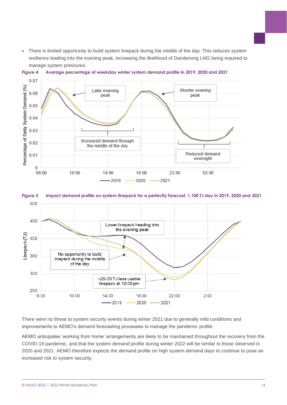• There is limited opportunity to build system linepack during the middle of the day. This reduces system resilience leading into the evening peak, increasing the likelihood of Dandenong LNG being required to manage system pressures.



<span id="page-13-0"></span>

<span id="page-13-1"></span>



There were no threat to system security events during winter 2021 due to generally mild conditions and improvements to AEMO's demand forecasting processes to manage the pandemic profile.

AEMO anticipates 'working from home' arrangements are likely to be maintained throughout the recovery from the COVID-19 pandemic, and that the system demand profile during winter 2022 will be similar to those observed in 2020 and 2021. AEMO therefore expects the demand profile on high system demand days to continue to pose an increased risk to system security.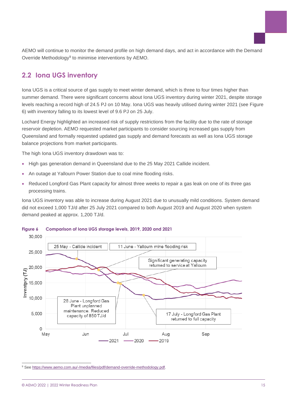AEMO will continue to monitor the demand profile on high demand days, and act in accordance with the Demand Override Methodology<sup>9</sup> to minimise interventions by AEMO.

## <span id="page-14-0"></span>**2.2 Iona UGS inventory**

Iona UGS is a critical source of gas supply to meet winter demand, which is three to four times higher than summer demand. There were significant concerns about Iona UGS inventory during winter 2021, despite storage levels reaching a record high of 24.5 PJ on 10 May. Iona UGS was heavily utilised during winter 2021 (see [Figure](#page-14-1)  [6\)](#page-14-1) with inventory falling to its lowest level of 9.6 PJ on 25 July.

Lochard Energy highlighted an increased risk of supply restrictions from the facility due to the rate of storage reservoir depletion. AEMO requested market participants to consider sourcing increased gas supply from Queensland and formally requested updated gas supply and demand forecasts as well as Iona UGS storage balance projections from market participants.

The high Iona UGS inventory drawdown was to:

- High gas generation demand in Queensland due to the 25 May 2021 Callide incident.
- An outage at Yallourn Power Station due to coal mine flooding risks.
- Reduced Longford Gas Plant capacity for almost three weeks to repair a gas leak on one of its three gas processing trains.

Iona UGS inventory was able to increase during August 2021 due to unusually mild conditions. System demand did not exceed 1,000 TJ/d after 25 July 2021 compared to both August 2019 and August 2020 when system demand peaked at approx. 1,200 TJ/d.



#### <span id="page-14-1"></span>**Figure 6 Comparison of Iona UGS storage levels, 2019, 2020 and 2021**

<sup>9</sup> See [https://www.aemo.com.au/-/media/files/pdf/demand-override-methodology.pdf.](https://www.aemo.com.au/-/media/files/pdf/demand-override-methodology.pdf)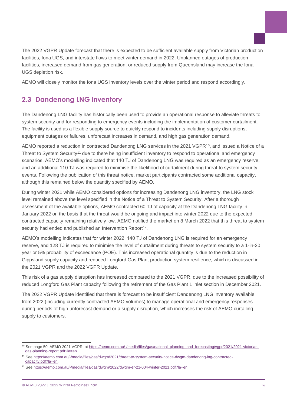The 2022 VGPR Update forecast that there is expected to be sufficient available supply from Victorian production facilities, Iona UGS, and interstate flows to meet winter demand in 2022. Unplanned outages of production facilities, increased demand from gas generation, or reduced supply from Queensland may increase the Iona UGS depletion risk.

AEMO will closely monitor the Iona UGS inventory levels over the winter period and respond accordingly.

## <span id="page-15-0"></span>**2.3 Dandenong LNG inventory**

The Dandenong LNG facility has historically been used to provide an operational response to alleviate threats to system security and for responding to emergency events including the implementation of customer curtailment. The facility is used as a flexible supply source to quickly respond to incidents including supply disruptions, equipment outages or failures, unforecast increases in demand, and high gas generation demand.

AEMO reported a reduction in contracted Dandenong LNG services in the 2021 VGPR<sup>10</sup>, and issued a Notice of a Threat to System Security<sup>11</sup> due to there being insufficient inventory to respond to operational and emergency scenarios. AEMO's modelling indicated that 140 TJ of Dandenong LNG was required as an emergency reserve, and an additional 110 TJ was required to minimise the likelihood of curtailment during threat to system security events. Following the publication of this threat notice, market participants contracted some additional capacity, although this remained below the quantity specified by AEMO.

During winter 2021 while AEMO considered options for increasing Dandenong LNG inventory, the LNG stock level remained above the level specified in the Notice of a Threat to System Security. After a thorough assessment of the available options, AEMO contracted 60 TJ of capacity at the Dandenong LNG facility in January 2022 on the basis that the threat would be ongoing and impact into winter 2022 due to the expected contracted capacity remaining relatively low. AEMO notified the market on 8 March 2022 that this threat to system security had ended and published an Intervention Report<sup>12</sup>.

AEMO's modelling indicates that for winter 2022, 140 TJ of Dandenong LNG is required for an emergency reserve, and 128 TJ is required to minimise the level of curtailment during threats to system security to a 1-in-20 year or 5% probability of exceedance (POE). This increased operational quantity is due to the reduction in Gippsland supply capacity and reduced Longford Gas Plant production system resilience, which is discussed in the 2021 VGPR and the 2022 VGPR Update.

This risk of a gas supply disruption has increased compared to the 2021 VGPR, due to the increased possibility of reduced Longford Gas Plant capacity following the retirement of the Gas Plant 1 inlet section in December 2021.

The 2022 VGPR Update identified that there is forecast to be insufficient Dandenong LNG inventory available from 2022 (including currently contracted AEMO volumes) to manage operational and emergency responses during periods of high unforecast demand or a supply disruption, which increases the risk of AEMO curtailing supply to customers.

<sup>10</sup> See page 50, AEMO 2021 VGPR, at [https://aemo.com.au/-/media/files/gas/national\\_planning\\_and\\_forecasting/vgpr/2021/2021-victorian](https://aemo.com.au/-/media/files/gas/national_planning_and_forecasting/vgpr/2021/2021-victorian-gas-planning-report.pdf?la=en)[gas-planning-report.pdf?la=en.](https://aemo.com.au/-/media/files/gas/national_planning_and_forecasting/vgpr/2021/2021-victorian-gas-planning-report.pdf?la=en)

<sup>11</sup> Se[e https://aemo.com.au/-/media/files/gas/dwgm/2021/threat-to-system-security-notice-dwgm-dandenong-lng-contracted](https://aemo.com.au/-/media/files/gas/dwgm/2021/threat-to-system-security-notice-dwgm-dandenong-lng-contracted-capacity.pdf?la=en)[capacity.pdf?la=en.](https://aemo.com.au/-/media/files/gas/dwgm/2021/threat-to-system-security-notice-dwgm-dandenong-lng-contracted-capacity.pdf?la=en) 

<sup>12</sup> Se[e https://aemo.com.au/-/media/files/gas/dwgm/2022/dwgm-er-21-004-winter-2021.pdf?la=en.](https://aemo.com.au/-/media/files/gas/dwgm/2022/dwgm-er-21-004-winter-2021.pdf?la=en)

<sup>©</sup> AEMO 2022 | 2022 Winter Readiness Plan 16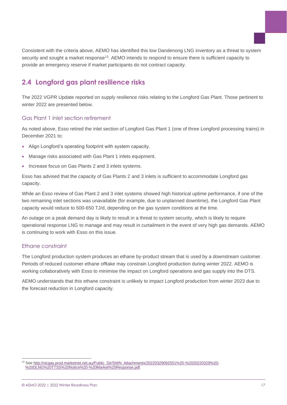Consistent with the criteria above, AEMO has identified this low Dandenong LNG inventory as a threat to system security and sought a market response<sup>13</sup>. AEMO intends to respond to ensure there is sufficient capacity to provide an emergency reserve if market participants do not contract capacity.

## <span id="page-16-0"></span>**2.4 Longford gas plant resilience risks**

The 2022 VGPR Update reported on supply resilience risks relating to the Longford Gas Plant. Those pertinent to winter 2022 are presented below.

### Gas Plant 1 inlet section retirement

As noted above, Esso retired the inlet section of Longford Gas Plant 1 (one of three Longford processing trains) in December 2021 to:

- Align Longford's operating footprint with system capacity.
- Manage risks associated with Gas Plant 1 inlets equipment.
- Increase focus on Gas Plants 2 and 3 inlets systems.

Esso has advised that the capacity of Gas Plants 2 and 3 inlets is sufficient to accommodate Longford gas capacity.

While an Esso review of Gas Plant 2 and 3 inlet systems showed high historical uptime performance, if one of the two remaining inlet sections was unavailable (for example, due to unplanned downtime), the Longford Gas Plant capacity would reduce to 500-650 TJ/d, depending on the gas system conditions at the time.

An outage on a peak demand day is likely to result in a threat to system security, which is likely to require operational response LNG to manage and may result in curtailment in the event of very high gas demands. AEMO is continuing to work with Esso on this issue.

### Ethane constraint

The Longford production system produces an ethane by-product stream that is used by a downstream customer. Periods of reduced customer ethane offtake may constrain Longford production during winter 2022. AEMO is working collaboratively with Esso to minimise the impact on Longford operations and gas supply into the DTS.

AEMO understands that this ethane constraint is unlikely to impact Longford production from winter 2023 due to the forecast reduction in Longford capacity.

<sup>13</sup> Se[e http://vicgas.prod.marketnet.net.au/Public\\_Dir/SWN\\_Attachments/20220329092551%20-%2020220329%20-](http://vicgas.prod.marketnet.net.au/Public_Dir/SWN_Attachments/20220329092551%20-%2020220329%20-%20DLNG%20TTSS%20Notice%20-%20Market%20Response.pdf) [%20DLNG%20TTSS%20Notice%20-%20Market%20Response.pdf.](http://vicgas.prod.marketnet.net.au/Public_Dir/SWN_Attachments/20220329092551%20-%2020220329%20-%20DLNG%20TTSS%20Notice%20-%20Market%20Response.pdf)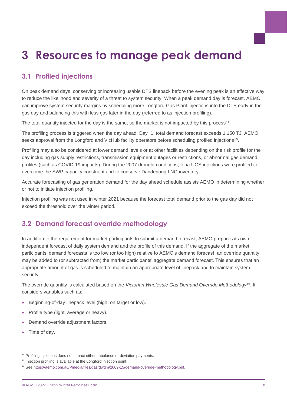## <span id="page-17-0"></span>**3 Resources to manage peak demand**

## <span id="page-17-1"></span>**3.1 Profiled injections**

On peak demand days, conserving or increasing usable DTS linepack before the evening peak is an effective way to reduce the likelihood and severity of a threat to system security. When a peak demand day is forecast, AEMO can improve system security margins by scheduling more Longford Gas Plant injections into the DTS early in the gas day and balancing this with less gas later in the day (referred to as injection profiling).

The total quantity injected for the day is the same, so the market is not impacted by this process<sup>14</sup>.

The profiling process is triggered when the day ahead, Day+1, total demand forecast exceeds 1,150 TJ. AEMO seeks approval from the Longford and VicHub facility operators before scheduling profiled injections<sup>15</sup>.

Profiling may also be considered at lower demand levels or at other facilities depending on the risk profile for the day including gas supply restrictions, transmission equipment outages or restrictions, or abnormal gas demand profiles (such as COVID-19 impacts). During the 2007 drought conditions, Iona UGS injections were profiled to overcome the SWP capacity constraint and to conserve Dandenong LNG inventory.

Accurate forecasting of gas generation demand for the day ahead schedule assists AEMO in determining whether or not to initiate injection profiling.

Injection profiling was not used in winter 2021 because the forecast total demand prior to the gas day did not exceed the threshold over the winter period.

## <span id="page-17-2"></span>**3.2 Demand forecast override methodology**

In addition to the requirement for market participants to submit a demand forecast, AEMO prepares its own independent forecast of daily system demand and the profile of this demand. If the aggregate of the market participants' demand forecasts is too low (or too high) relative to AEMO's demand forecast, an override quantity may be added to (or subtracted from) the market participants' aggregate demand forecast. This ensures that an appropriate amount of gas is scheduled to maintain an appropriate level of linepack and to maintain system security.

The override quantity is calculated based on the *Victorian Wholesale Gas Demand Override Methodology*<sup>16</sup> . It considers variables such as:

- Beginning-of-day linepack level (high, on target or low).
- Profile type (light, average or heavy).
- Demand override adjustment factors.
- Time of day.

<sup>&</sup>lt;sup>14</sup> Profiling injections does not impact either imbalance or deviation payments.

<sup>&</sup>lt;sup>15</sup> Injection profiling is available at the Longford injection point.

<sup>&</sup>lt;sup>16</sup> Se[e https://aemo.com.au/-/media/files/gas/dwgm/2009-15/demand-override-methodology.pdf.](https://aemo.com.au/-/media/files/gas/dwgm/2009-15/demand-override-methodology.pdf)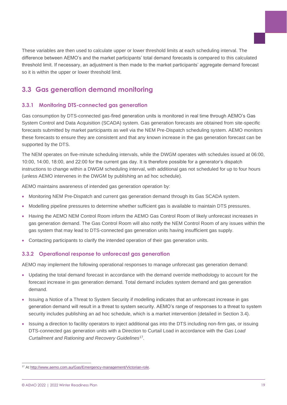These variables are then used to calculate upper or lower threshold limits at each scheduling interval. The difference between AEMO's and the market participants' total demand forecasts is compared to this calculated threshold limit. If necessary, an adjustment is then made to the market participants' aggregate demand forecast so it is within the upper or lower threshold limit.

## <span id="page-18-0"></span>**3.3 Gas generation demand monitoring**

## **3.3.1 Monitoring DTS-connected gas generation**

Gas consumption by DTS-connected gas-fired generation units is monitored in real time through AEMO's Gas System Control and Data Acquisition (SCADA) system. Gas generation forecasts are obtained from site-specific forecasts submitted by market participants as well via the NEM Pre-Dispatch scheduling system. AEMO monitors these forecasts to ensure they are consistent and that any known increase in the gas generation forecast can be supported by the DTS.

The NEM operates on five-minute scheduling intervals, while the DWGM operates with schedules issued at 06:00, 10:00, 14:00, 18:00, and 22:00 for the current gas day. It is therefore possible for a generator's dispatch instructions to change within a DWGM scheduling interval, with additional gas not scheduled for up to four hours (unless AEMO intervenes in the DWGM by publishing an ad hoc schedule).

AEMO maintains awareness of intended gas generation operation by:

- Monitoring NEM Pre-Dispatch and current gas generation demand through its Gas SCADA system.
- Modelling pipeline pressures to determine whether sufficient gas is available to maintain DTS pressures.
- Having the AEMO NEM Control Room inform the AEMO Gas Control Room of likely unforecast increases in gas generation demand. The Gas Control Room will also notify the NEM Control Room of any issues within the gas system that may lead to DTS-connected gas generation units having insufficient gas supply.
- Contacting participants to clarify the intended operation of their gas generation units.

### **3.3.2 Operational response to unforecast gas generation**

AEMO may implement the following operational responses to manage unforecast gas generation demand:

- Updating the total demand forecast in accordance with the demand override methodology to account for the forecast increase in gas generation demand. Total demand includes system demand and gas generation demand.
- Issuing a Notice of a Threat to System Security if modelling indicates that an unforecast increase in gas generation demand will result in a threat to system security. AEMO's range of responses to a threat to system security includes publishing an ad hoc schedule, which is a market intervention (detailed in Section [3.4\)](#page-19-0).
- Issuing a direction to facility operators to inject additional gas into the DTS including non-firm gas, or issuing DTS-connected gas generation units with a Direction to Curtail Load in accordance with the *Gas Load Curtailment and Rationing and Recovery Guidelines*<sup>17</sup> .

<sup>17</sup> At [http://www.aemo.com.au/Gas/Emergency-management/Victorian-role.](http://www.aemo.com.au/Gas/Emergency-management/Victorian-role)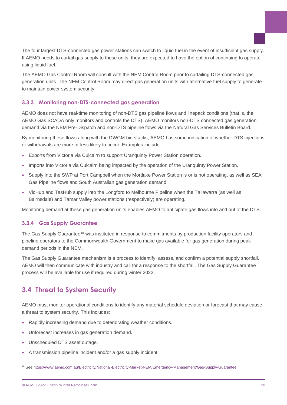The four largest DTS-connected gas power stations can switch to liquid fuel in the event of insufficient gas supply. If AEMO needs to curtail gas supply to these units, they are expected to have the option of continuing to operate using liquid fuel.

The AEMO Gas Control Room will consult with the NEM Control Room prior to curtailing DTS-connected gas generation units. The NEM Control Room may direct gas generation units with alternative fuel supply to generate to maintain power system security.

### **3.3.3 Monitoring non-DTS-connected gas generation**

AEMO does not have real-time monitoring of non-DTS gas pipeline flows and linepack conditions (that is, the AEMO Gas SCADA only monitors and controls the DTS). AEMO monitors non-DTS connected gas generation demand via the NEM Pre-Dispatch and non-DTS pipeline flows via the Natural Gas Services Bulletin Board.

By monitoring these flows along with the DWGM bid stacks, AEMO has some indication of whether DTS injections or withdrawals are more or less likely to occur. Examples include:

- Exports from Victoria via Culcairn to support Uranquinty Power Station operation.
- Imports into Victoria via Culcairn being impacted by the operation of the Uranquinty Power Station.
- Supply into the SWP at Port Campbell when the Mortlake Power Station is or is not operating, as well as SEA Gas Pipeline flows and South Australian gas generation demand.
- VicHub and TasHub supply into the Longford to Melbourne Pipeline when the Tallawarra (as well as Bairnsdale) and Tamar Valley power stations (respectively) are operating.

Monitoring demand at these gas generation units enables AEMO to anticipate gas flows into and out of the DTS.

### **3.3.4 Gas Supply Guarantee**

The Gas Supply Guarantee<sup>18</sup> was instituted in response to commitments by production facility operators and pipeline operators to the Commonwealth Government to make gas available for gas generation during peak demand periods in the NEM.

The Gas Supply Guarantee mechanism is a process to identify, assess, and confirm a potential supply shortfall. AEMO will then communicate with industry and call for a response to the shortfall. The Gas Supply Guarantee process will be available for use if required during winter 2022.

## <span id="page-19-0"></span>**3.4 Threat to System Security**

AEMO must monitor operational conditions to identify any material schedule deviation or forecast that may cause a threat to system security. This includes:

- Rapidly increasing demand due to deteriorating weather conditions.
- Unforecast increases in gas generation demand.
- Unscheduled DTS asset outage.
- A transmission pipeline incident and/or a gas supply incident.

<sup>&</sup>lt;sup>18</sup> See [https://www.aemo.com.au/Electricity/National-Electricity-Market-NEM/Emergency-Management/Gas-Supply-Guarantee.](https://www.aemo.com.au/Electricity/National-Electricity-Market-NEM/Emergency-Management/Gas-Supply-Guarantee)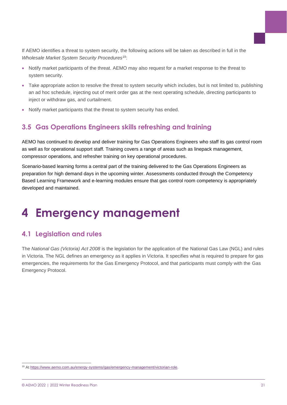If AEMO identifies a threat to system security, the following actions will be taken as described in full in the *Wholesale Market System Security Procedures*<sup>19</sup>:

- Notify market participants of the threat. AEMO may also request for a market response to the threat to system security.
- Take appropriate action to resolve the threat to system security which includes, but is not limited to, publishing an ad hoc schedule, injecting out of merit order gas at the next operating schedule, directing participants to inject or withdraw gas, and curtailment.
- Notify market participants that the threat to system security has ended.

## <span id="page-20-0"></span>**3.5 Gas Operations Engineers skills refreshing and training**

AEMO has continued to develop and deliver training for Gas Operations Engineers who staff its gas control room as well as for operational support staff. Training covers a range of areas such as linepack management, compressor operations, and refresher training on key operational procedures.

Scenario-based learning forms a central part of the training delivered to the Gas Operations Engineers as preparation for high demand days in the upcoming winter. Assessments conducted through the Competency Based Learning Framework and e-learning modules ensure that gas control room competency is appropriately developed and maintained.

## <span id="page-20-1"></span>**4 Emergency management**

## <span id="page-20-2"></span>**4.1 Legislation and rules**

The *National Gas (Victoria) Act 2008* is the legislation for the application of the National Gas Law (NGL) and rules in Victoria. The NGL defines an emergency as it applies in Victoria. It specifies what is required to prepare for gas emergencies, the requirements for the Gas Emergency Protocol, and that participants must comply with the Gas Emergency Protocol.

<sup>&</sup>lt;sup>19</sup> At [https://www.aemo.com.au/energy-systems/gas/emergency-management/victorian-role.](https://www.aemo.com.au/energy-systems/gas/emergency-management/victorian-role)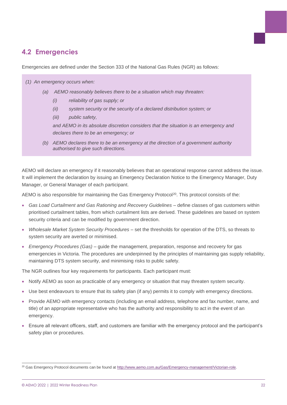## <span id="page-21-0"></span>**4.2 Emergencies**

Emergencies are defined under the Section 333 of the National Gas Rules (NGR) as follows:

#### *(1) An emergency occurs when:*

- *(a) AEMO reasonably believes there to be a situation which may threaten:*
	- *(i) reliability of gas supply; or*
	- *(ii) system security or the security of a declared distribution system; or*
	- *(iii) public safety,*

*and AEMO in its absolute discretion considers that the situation is an emergency and declares there to be an emergency; or*

*(b) AEMO declares there to be an emergency at the direction of a government authority authorised to give such directions.*

AEMO will declare an emergency if it reasonably believes that an operational response cannot address the issue. It will implement the declaration by issuing an Emergency Declaration Notice to the Emergency Manager, Duty Manager, or General Manager of each participant.

AEMO is also responsible for maintaining the Gas Emergency Protocol<sup>20</sup>. This protocol consists of the:

- *Gas Load Curtailment and Gas Rationing and Recovery Guidelines –* define classes of gas customers within prioritised curtailment tables, from which curtailment lists are derived. These guidelines are based on system security criteria and can be modified by government direction.
- *Wholesale Market System Security Procedures –* set the thresholds for operation of the DTS, so threats to system security are averted or minimised.
- *Emergency Procedures (Gas) –* guide the management, preparation, response and recovery for gas emergencies in Victoria. The procedures are underpinned by the principles of maintaining gas supply reliability, maintaining DTS system security, and minimising risks to public safety.

The NGR outlines four key requirements for participants. Each participant must:

- Notify AEMO as soon as practicable of any emergency or situation that may threaten system security.
- Use best endeavours to ensure that its safety plan (if any) permits it to comply with emergency directions.
- Provide AEMO with emergency contacts (including an email address, telephone and fax number, name, and title) of an appropriate representative who has the authority and responsibility to act in the event of an emergency.
- Ensure all relevant officers, staff, and customers are familiar with the emergency protocol and the participant's safety plan or procedures.

<sup>&</sup>lt;sup>20</sup> Gas Emergency Protocol documents can be found at [http://www.aemo.com.au/Gas/Emergency-management/Victorian-role.](http://www.aemo.com.au/Gas/Emergency-management/Victorian-role)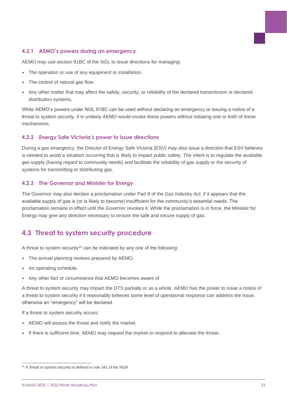#### **4.2.1 AEMO's powers during an emergency**

AEMO may use section 91BC of the NGL to issue directions for managing:

- The operation or use of any equipment or installation.
- The control of natural gas flow.
- Any other matter that may affect the safety, security, or reliability of the declared transmission or declared distribution systems.

While AEMO's powers under NGL 91BC can be used without declaring an emergency or issuing a notice of a threat to system security, it is unlikely AEMO would invoke these powers without initiating one or both of these mechanisms.

### **4.2.2 Energy Safe Victoria's power to issue directions**

During a gas emergency, the Director of Energy Safe Victoria (ESV) may also issue a direction that ESV believes is needed to avoid a situation occurring that is likely to impact public safety. The intent is to regulate the available gas supply (having regard to community needs) and facilitate the reliability of gas supply or the security of systems for transmitting or distributing gas.

#### **4.2.3 The Governor and Minister for Energy**

The Governor may also declare a proclamation under Part 9 of the *Gas Industry Act*, if it appears that the available supply of gas is (or is likely to become) insufficient for the community's essential needs. The proclamation remains in effect until the Governor revokes it. While the proclamation is in force, the Minister for Energy may give any direction necessary to ensure the safe and secure supply of gas.

## <span id="page-22-0"></span>**4.3 Threat to system security procedure**

A threat to system security<sup>21</sup> can be indicated by any one of the following:

- The annual planning reviews prepared by AEMO.
- An operating schedule.
- Any other fact or circumstance that AEMO becomes aware of.

A threat to system security may impact the DTS partially or as a whole. AEMO has the power to issue a notice of a threat to system security if it reasonably believes some level of operational response can address the issue, otherwise an "emergency" will be declared.

If a threat to system security occurs:

- AEMO will assess the threat and notify the market.
- If there is sufficient time, AEMO may request the market to respond to alleviate the threat.

<sup>&</sup>lt;sup>21</sup> A threat to system security is defined in rule 341 of the NGR.